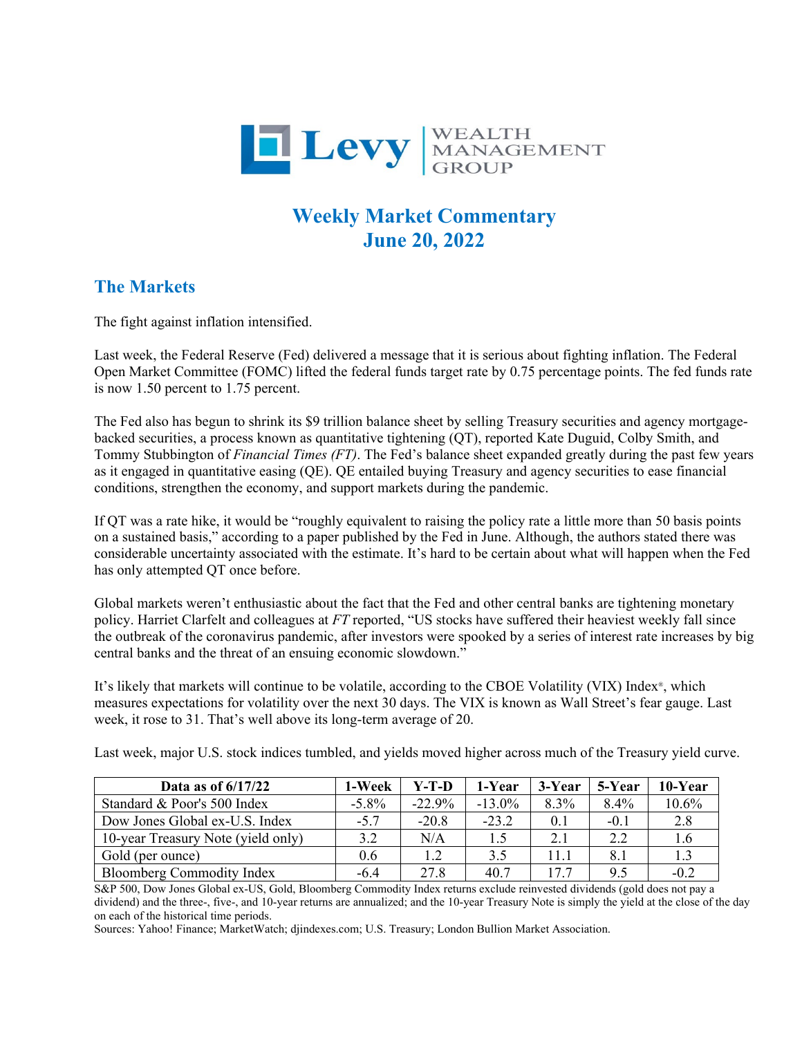

## **Weekly Market Commentary June 20, 2022**

## **The Markets**

The fight against inflation intensified.

Last week, the Federal Reserve (Fed) delivered a message that it is serious about fighting inflation. The Federal Open Market Committee (FOMC) lifted the federal funds target rate by 0.75 percentage points. The fed funds rate is now 1.50 percent to 1.75 percent.

The Fed also has begun to shrink its \$9 trillion balance sheet by selling Treasury securities and agency mortgagebacked securities, a process known as quantitative tightening (QT), reported Kate Duguid, Colby Smith, and Tommy Stubbington of *Financial Times (FT)*. The Fed's balance sheet expanded greatly during the past few years as it engaged in quantitative easing (QE). QE entailed buying Treasury and agency securities to ease financial conditions, strengthen the economy, and support markets during the pandemic.

If QT was a rate hike, it would be "roughly equivalent to raising the policy rate a little more than 50 basis points on a sustained basis," according to a paper published by the Fed in June. Although, the authors stated there was considerable uncertainty associated with the estimate. It's hard to be certain about what will happen when the Fed has only attempted QT once before.

Global markets weren't enthusiastic about the fact that the Fed and other central banks are tightening monetary policy. Harriet Clarfelt and colleagues at *FT* reported, "US stocks have suffered their heaviest weekly fall since the outbreak of the coronavirus pandemic, after investors were spooked by a series of interest rate increases by big central banks and the threat of an ensuing economic slowdown."

It's likely that markets will continue to be volatile, according to the CBOE Volatility (VIX) Index®, which measures expectations for volatility over the next 30 days. The VIX is known as Wall Street's fear gauge. Last week, it rose to 31. That's well above its long-term average of 20.

Last week, major U.S. stock indices tumbled, and yields moved higher across much of the Treasury yield curve.

| Data as of $6/17/22$               | 1-Week   | Y-T-D    | 1-Year    | 3-Year | 5-Year | 10-Year |
|------------------------------------|----------|----------|-----------|--------|--------|---------|
| Standard & Poor's 500 Index        | $-5.8\%$ | $-22.9%$ | $-13.0\%$ | 8.3%   | 8.4%   | 10.6%   |
| Dow Jones Global ex-U.S. Index     | $-5.7$   | $-20.8$  | $-23.2$   | 0.1    | $-0.1$ | 2.8     |
| 10-year Treasury Note (yield only) | 3.2      | N/A      | 1.5       | 2.1    | 2.2    | 1.6     |
| Gold (per ounce)                   | 0.6      | 1.2      | 3.5       | 11.1   | 8.1    | 1.3     |
| <b>Bloomberg Commodity Index</b>   | $-6.4$   | 27.8     | 40.7      | 17.7   | 9.5    | $-0.2$  |

S&P 500, Dow Jones Global ex-US, Gold, Bloomberg Commodity Index returns exclude reinvested dividends (gold does not pay a dividend) and the three-, five-, and 10-year returns are annualized; and the 10-year Treasury Note is simply the yield at the close of the day on each of the historical time periods.

Sources: Yahoo! Finance; MarketWatch; djindexes.com; U.S. Treasury; London Bullion Market Association.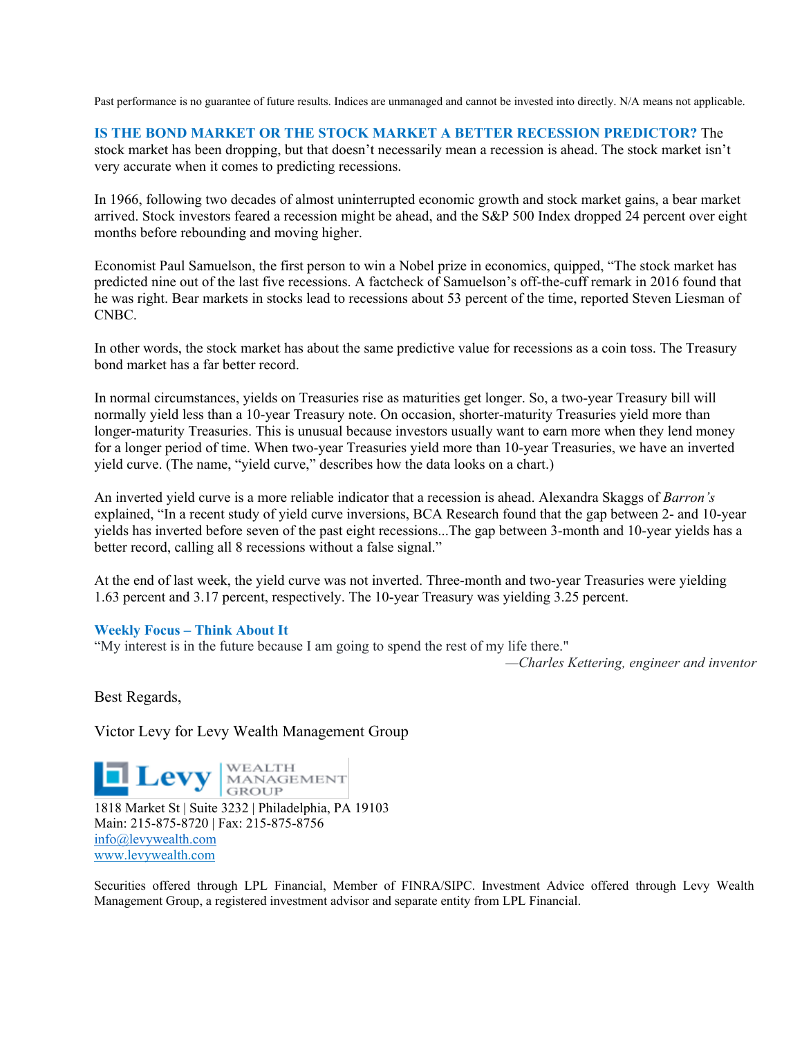Past performance is no guarantee of future results. Indices are unmanaged and cannot be invested into directly. N/A means not applicable.

## **IS THE BOND MARKET OR THE STOCK MARKET A BETTER RECESSION PREDICTOR?** The

stock market has been dropping, but that doesn't necessarily mean a recession is ahead. The stock market isn't very accurate when it comes to predicting recessions.

In 1966, following two decades of almost uninterrupted economic growth and stock market gains, a bear market arrived. Stock investors feared a recession might be ahead, and the S&P 500 Index dropped 24 percent over eight months before rebounding and moving higher.

Economist Paul Samuelson, the first person to win a Nobel prize in economics, quipped, "The stock market has predicted nine out of the last five recessions. A factcheck of Samuelson's off-the-cuff remark in 2016 found that he was right. Bear markets in stocks lead to recessions about 53 percent of the time, reported Steven Liesman of CNBC.

In other words, the stock market has about the same predictive value for recessions as a coin toss. The Treasury bond market has a far better record.

In normal circumstances, yields on Treasuries rise as maturities get longer. So, a two-year Treasury bill will normally yield less than a 10-year Treasury note. On occasion, shorter-maturity Treasuries yield more than longer-maturity Treasuries. This is unusual because investors usually want to earn more when they lend money for a longer period of time. When two-year Treasuries yield more than 10-year Treasuries, we have an inverted yield curve. (The name, "yield curve," describes how the data looks on a chart.)

An inverted yield curve is a more reliable indicator that a recession is ahead. Alexandra Skaggs of *Barron's* explained, "In a recent study of yield curve inversions, BCA Research found that the gap between 2- and 10-year yields has inverted before seven of the past eight recessions...The gap between 3-month and 10-year yields has a better record, calling all 8 recessions without a false signal."

At the end of last week, the yield curve was not inverted. Three-month and two-year Treasuries were yielding 1.63 percent and 3.17 percent, respectively. The 10-year Treasury was yielding 3.25 percent.

## **Weekly Focus – Think About It**

"My interest is in the future because I am going to spend the rest of my life there."

*—Charles Kettering, engineer and inventor*

Best Regards,

Victor Levy for Levy Wealth Management Group

**1818 Market St | Suite 3232** | Philadelphia, PA 19103 Main: 215-875-8720 | Fax: 215-875-8756 [info@levywealth.com](mailto:info@levywealth.com) [www.levywealth.com](http://www.levywealth.com/)

Securities offered through LPL Financial, Member of FINRA/SIPC. Investment Advice offered through Levy Wealth Management Group, a registered investment advisor and separate entity from LPL Financial.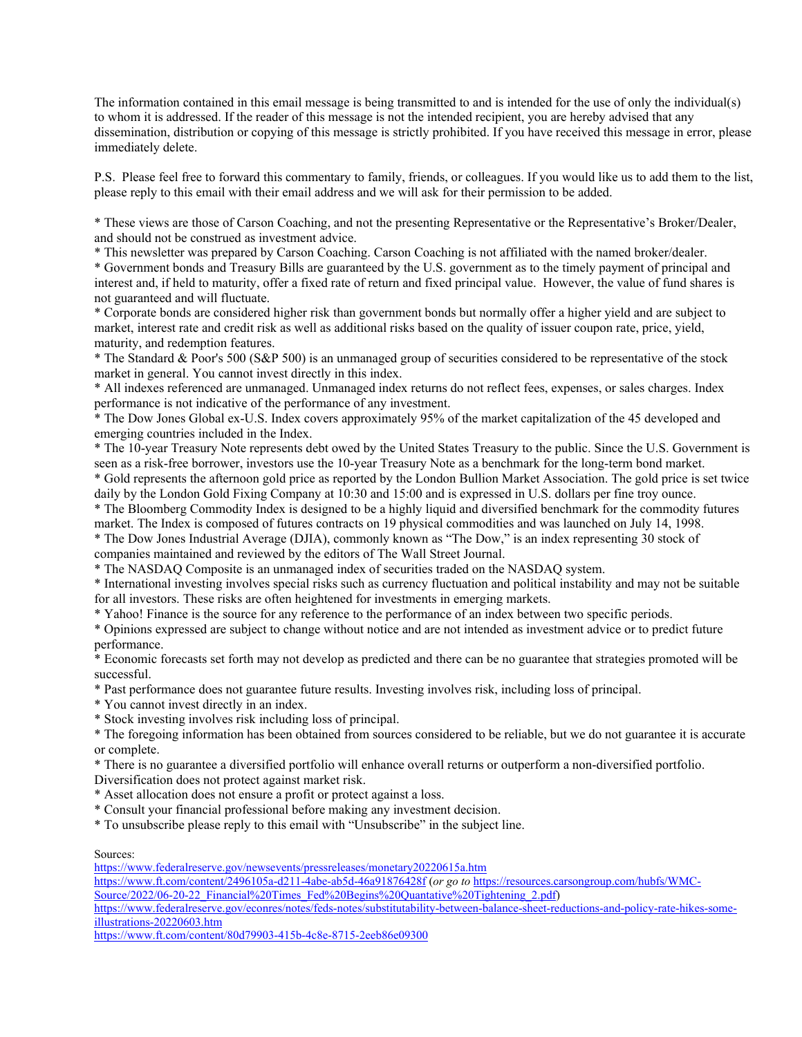The information contained in this email message is being transmitted to and is intended for the use of only the individual(s) to whom it is addressed. If the reader of this message is not the intended recipient, you are hereby advised that any dissemination, distribution or copying of this message is strictly prohibited. If you have received this message in error, please immediately delete.

P.S. Please feel free to forward this commentary to family, friends, or colleagues. If you would like us to add them to the list, please reply to this email with their email address and we will ask for their permission to be added.

\* These views are those of Carson Coaching, and not the presenting Representative or the Representative's Broker/Dealer, and should not be construed as investment advice.

\* This newsletter was prepared by Carson Coaching. Carson Coaching is not affiliated with the named broker/dealer.

\* Government bonds and Treasury Bills are guaranteed by the U.S. government as to the timely payment of principal and interest and, if held to maturity, offer a fixed rate of return and fixed principal value. However, the value of fund shares is not guaranteed and will fluctuate.

\* Corporate bonds are considered higher risk than government bonds but normally offer a higher yield and are subject to market, interest rate and credit risk as well as additional risks based on the quality of issuer coupon rate, price, yield, maturity, and redemption features.

\* The Standard & Poor's 500 (S&P 500) is an unmanaged group of securities considered to be representative of the stock market in general. You cannot invest directly in this index.

\* All indexes referenced are unmanaged. Unmanaged index returns do not reflect fees, expenses, or sales charges. Index performance is not indicative of the performance of any investment.

\* The Dow Jones Global ex-U.S. Index covers approximately 95% of the market capitalization of the 45 developed and emerging countries included in the Index.

\* The 10-year Treasury Note represents debt owed by the United States Treasury to the public. Since the U.S. Government is seen as a risk-free borrower, investors use the 10-year Treasury Note as a benchmark for the long-term bond market. \* Gold represents the afternoon gold price as reported by the London Bullion Market Association. The gold price is set twice

daily by the London Gold Fixing Company at 10:30 and 15:00 and is expressed in U.S. dollars per fine troy ounce.

\* The Bloomberg Commodity Index is designed to be a highly liquid and diversified benchmark for the commodity futures market. The Index is composed of futures contracts on 19 physical commodities and was launched on July 14, 1998.

\* The Dow Jones Industrial Average (DJIA), commonly known as "The Dow," is an index representing 30 stock of companies maintained and reviewed by the editors of The Wall Street Journal.

\* The NASDAQ Composite is an unmanaged index of securities traded on the NASDAQ system.

\* International investing involves special risks such as currency fluctuation and political instability and may not be suitable for all investors. These risks are often heightened for investments in emerging markets.

\* Yahoo! Finance is the source for any reference to the performance of an index between two specific periods.

\* Opinions expressed are subject to change without notice and are not intended as investment advice or to predict future performance.

\* Economic forecasts set forth may not develop as predicted and there can be no guarantee that strategies promoted will be successful.

\* Past performance does not guarantee future results. Investing involves risk, including loss of principal.

\* You cannot invest directly in an index.

\* Stock investing involves risk including loss of principal.

\* The foregoing information has been obtained from sources considered to be reliable, but we do not guarantee it is accurate or complete.

\* There is no guarantee a diversified portfolio will enhance overall returns or outperform a non-diversified portfolio.

Diversification does not protect against market risk.

- \* Asset allocation does not ensure a profit or protect against a loss.
- \* Consult your financial professional before making any investment decision.
- \* To unsubscribe please reply to this email with "Unsubscribe" in the subject line.

Sources:

<https://www.federalreserve.gov/newsevents/pressreleases/monetary20220615a.htm>

[https://www.ft.com/content/2496105a-d211-4abe-ab5d-46a91876428f \(](https://www.ft.com/content/2496105a-d211-4abe-ab5d-46a91876428f)*or go to* [https://resources.carsongroup.com/hubfs/WMC-](https://resources.carsongroup.com/hubfs/WMC-Source/2022/06-20-22_Financial%20Times_Fed%20Begins%20Quantative%20Tightening_2.pdf)Source/2022/06-20-22 Financial%20Times Fed%20Begins%20Quantative%20Tightening 2.pdf)

[https://www.federalreserve.gov/econres/notes/feds-notes/substitutability-between-balance-sheet-reductions-and-policy-rate-hikes-some](https://www.federalreserve.gov/econres/notes/feds-notes/substitutability-between-balance-sheet-reductions-and-policy-rate-hikes-some-illustrations-20220603.htm)[illustrations-20220603.htm](https://www.federalreserve.gov/econres/notes/feds-notes/substitutability-between-balance-sheet-reductions-and-policy-rate-hikes-some-illustrations-20220603.htm) 

<https://www.ft.com/content/80d79903-415b-4c8e-8715-2eeb86e09300>